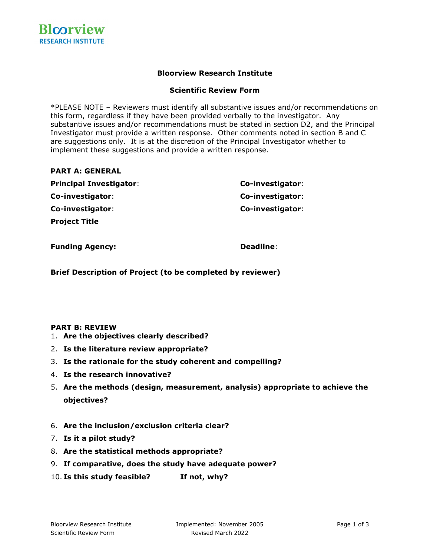# **Bloorview Research Institute**

## **Scientific Review Form**

\*PLEASE NOTE – Reviewers must identify all substantive issues and/or recommendations on this form, regardless if they have been provided verbally to the investigator. Any substantive issues and/or recommendations must be stated in section D2, and the Principal Investigator must provide a written response. Other comments noted in section B and C are suggestions only. It is at the discretion of the Principal Investigator whether to implement these suggestions and provide a written response.

## **PART A: GENERAL**

| <b>Principal Investigator:</b> | Co-investigator: |
|--------------------------------|------------------|
| Co-investigator:               | Co-investigator: |
| Co-investigator:               | Co-investigator: |
| <b>Project Title</b>           |                  |

**Funding Agency: Deadline: Deadline:** 

**Brief Description of Project (to be completed by reviewer)**

### **PART B: REVIEW**

- 1. **Are the objectives clearly described?**
- 2. **Is the literature review appropriate?**
- 3. **Is the rationale for the study coherent and compelling?**
- 4. **Is the research innovative?**
- 5. **Are the methods (design, measurement, analysis) appropriate to achieve the objectives?**
- 6. **Are the inclusion/exclusion criteria clear?**
- 7. **Is it a pilot study?**
- 8. **Are the statistical methods appropriate?**
- 9. **If comparative, does the study have adequate power?**
- 10. **Is this study feasible? If not, why?**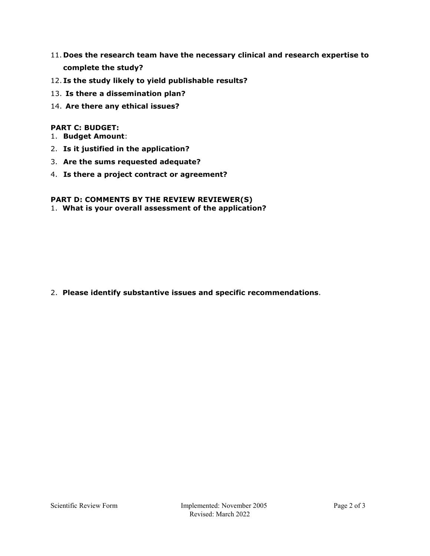- 11. **Does the research team have the necessary clinical and research expertise to complete the study?**
- 12. **Is the study likely to yield publishable results?**
- 13. **Is there a dissemination plan?**
- 14. **Are there any ethical issues?**

# **PART C: BUDGET:**

- 1. **Budget Amount**:
- 2. **Is it justified in the application?**
- 3. **Are the sums requested adequate?**
- 4. **Is there a project contract or agreement?**

# **PART D: COMMENTS BY THE REVIEW REVIEWER(S)**

1. **What is your overall assessment of the application?**

2. **Please identify substantive issues and specific recommendations**.